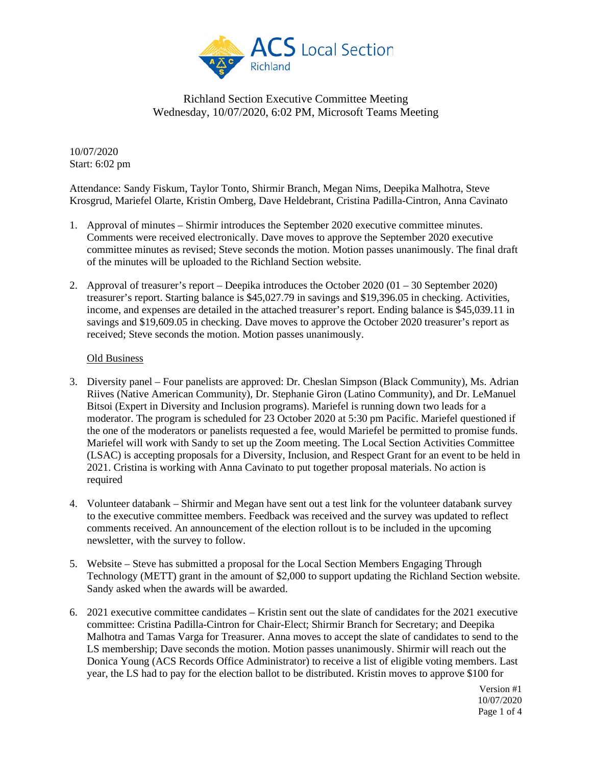

10/07/2020 Start: 6:02 pm

Attendance: Sandy Fiskum, Taylor Tonto, Shirmir Branch, Megan Nims, Deepika Malhotra, Steve Krosgrud, Mariefel Olarte, Kristin Omberg, Dave Heldebrant, Cristina Padilla-Cintron, Anna Cavinato

- 1. Approval of minutes Shirmir introduces the September 2020 executive committee minutes. Comments were received electronically. Dave moves to approve the September 2020 executive committee minutes as revised; Steve seconds the motion. Motion passes unanimously. The final draft of the minutes will be uploaded to the Richland Section website.
- 2. Approval of treasurer's report Deepika introduces the October 2020 (01 30 September 2020) treasurer's report. Starting balance is \$45,027.79 in savings and \$19,396.05 in checking. Activities, income, and expenses are detailed in the attached treasurer's report. Ending balance is \$45,039.11 in savings and \$19,609.05 in checking. Dave moves to approve the October 2020 treasurer's report as received; Steve seconds the motion. Motion passes unanimously.

#### Old Business

- 3. Diversity panel Four panelists are approved: Dr. Cheslan Simpson (Black Community), Ms. Adrian Riives (Native American Community), Dr. Stephanie Giron (Latino Community), and Dr. LeManuel Bitsoi (Expert in Diversity and Inclusion programs). Mariefel is running down two leads for a moderator. The program is scheduled for 23 October 2020 at 5:30 pm Pacific. Mariefel questioned if the one of the moderators or panelists requested a fee, would Mariefel be permitted to promise funds. Mariefel will work with Sandy to set up the Zoom meeting. The Local Section Activities Committee (LSAC) is accepting proposals for a Diversity, Inclusion, and Respect Grant for an event to be held in 2021. Cristina is working with Anna Cavinato to put together proposal materials. No action is required
- 4. Volunteer databank Shirmir and Megan have sent out a test link for the volunteer databank survey to the executive committee members. Feedback was received and the survey was updated to reflect comments received. An announcement of the election rollout is to be included in the upcoming newsletter, with the survey to follow.
- 5. Website Steve has submitted a proposal for the Local Section Members Engaging Through Technology (METT) grant in the amount of \$2,000 to support updating the Richland Section website. Sandy asked when the awards will be awarded.
- 6. 2021 executive committee candidates Kristin sent out the slate of candidates for the 2021 executive committee: Cristina Padilla-Cintron for Chair-Elect; Shirmir Branch for Secretary; and Deepika Malhotra and Tamas Varga for Treasurer. Anna moves to accept the slate of candidates to send to the LS membership; Dave seconds the motion. Motion passes unanimously. Shirmir will reach out the Donica Young (ACS Records Office Administrator) to receive a list of eligible voting members. Last year, the LS had to pay for the election ballot to be distributed. Kristin moves to approve \$100 for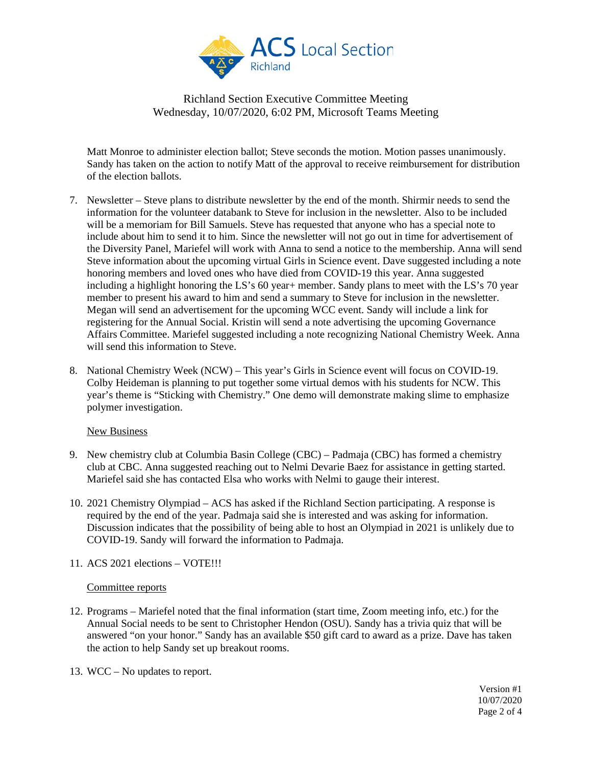

Matt Monroe to administer election ballot; Steve seconds the motion. Motion passes unanimously. Sandy has taken on the action to notify Matt of the approval to receive reimbursement for distribution of the election ballots.

- 7. Newsletter Steve plans to distribute newsletter by the end of the month. Shirmir needs to send the information for the volunteer databank to Steve for inclusion in the newsletter. Also to be included will be a memoriam for Bill Samuels. Steve has requested that anyone who has a special note to include about him to send it to him. Since the newsletter will not go out in time for advertisement of the Diversity Panel, Mariefel will work with Anna to send a notice to the membership. Anna will send Steve information about the upcoming virtual Girls in Science event. Dave suggested including a note honoring members and loved ones who have died from COVID-19 this year. Anna suggested including a highlight honoring the LS's 60 year+ member. Sandy plans to meet with the LS's 70 year member to present his award to him and send a summary to Steve for inclusion in the newsletter. Megan will send an advertisement for the upcoming WCC event. Sandy will include a link for registering for the Annual Social. Kristin will send a note advertising the upcoming Governance Affairs Committee. Mariefel suggested including a note recognizing National Chemistry Week. Anna will send this information to Steve.
- 8. National Chemistry Week (NCW) This year's Girls in Science event will focus on COVID-19. Colby Heideman is planning to put together some virtual demos with his students for NCW. This year's theme is "Sticking with Chemistry." One demo will demonstrate making slime to emphasize polymer investigation.

#### New Business

- 9. New chemistry club at Columbia Basin College (CBC) Padmaja (CBC) has formed a chemistry club at CBC. Anna suggested reaching out to Nelmi Devarie Baez for assistance in getting started. Mariefel said she has contacted Elsa who works with Nelmi to gauge their interest.
- 10. 2021 Chemistry Olympiad ACS has asked if the Richland Section participating. A response is required by the end of the year. Padmaja said she is interested and was asking for information. Discussion indicates that the possibility of being able to host an Olympiad in 2021 is unlikely due to COVID-19. Sandy will forward the information to Padmaja.
- 11. ACS 2021 elections VOTE!!!

#### Committee reports

- 12. Programs Mariefel noted that the final information (start time, Zoom meeting info, etc.) for the Annual Social needs to be sent to Christopher Hendon (OSU). Sandy has a trivia quiz that will be answered "on your honor." Sandy has an available \$50 gift card to award as a prize. Dave has taken the action to help Sandy set up breakout rooms.
- 13. WCC No updates to report.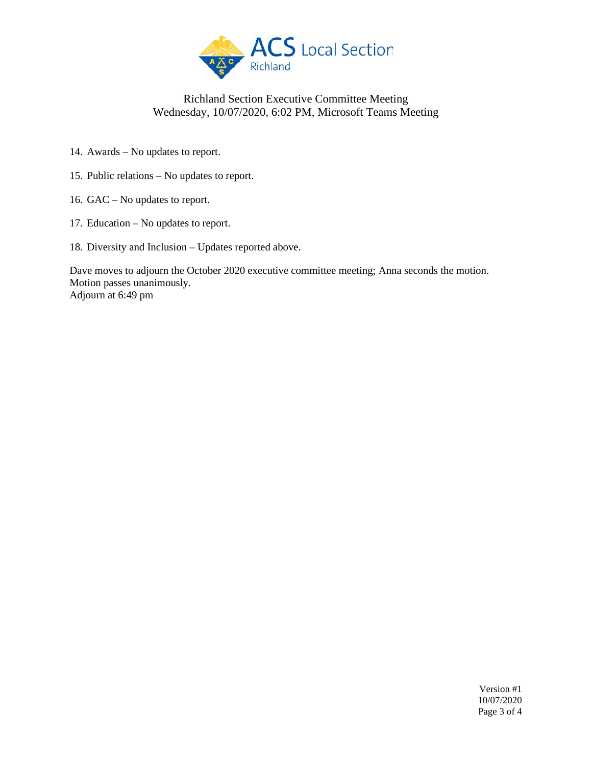

- 14. Awards No updates to report.
- 15. Public relations No updates to report.
- 16. GAC No updates to report.
- 17. Education No updates to report.
- 18. Diversity and Inclusion Updates reported above.

Dave moves to adjourn the October 2020 executive committee meeting; Anna seconds the motion. Motion passes unanimously. Adjourn at 6:49 pm